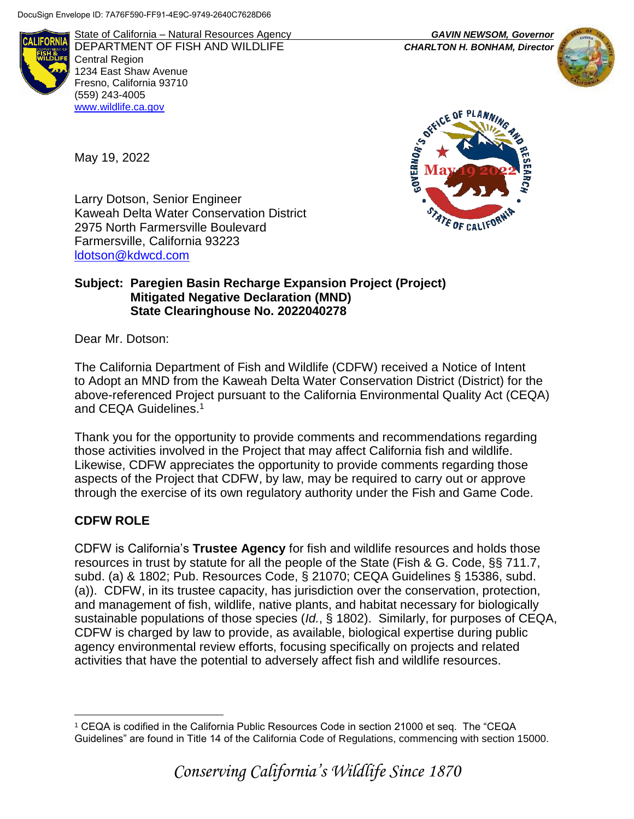

State of California – Natural Resources Agency *GAVIN NEWSOM, Governor* DEPARTMENT OF FISH AND WILDLIFE *CHARLTON H. BONHAM, Director*  Central Region 1234 East Shaw Avenue Fresno, California 93710 (559) 243-4005 [www.wildlife.ca.gov](http://www.cdfw.ca.gov/)





Larry Dotson, Senior Engineer Kaweah Delta Water Conservation District 2975 North Farmersville Boulevard Farmersville, California 93223 [ldotson@kdwcd.com](mailto:ldotson@kdwcd.com)

### **Subject: Paregien Basin Recharge Expansion Project (Project) Mitigated Negative Declaration (MND) State Clearinghouse No. 2022040278**

Dear Mr. Dotson:

May 19, 2022

The California Department of Fish and Wildlife (CDFW) received a Notice of Intent to Adopt an MND from the Kaweah Delta Water Conservation District (District) for the above-referenced Project pursuant to the California Environmental Quality Act (CEQA) and CEQA Guidelines.<sup>1</sup>

Thank you for the opportunity to provide comments and recommendations regarding those activities involved in the Project that may affect California fish and wildlife. Likewise, CDFW appreciates the opportunity to provide comments regarding those aspects of the Project that CDFW, by law, may be required to carry out or approve through the exercise of its own regulatory authority under the Fish and Game Code.

## **CDFW ROLE**

CDFW is California's **Trustee Agency** for fish and wildlife resources and holds those resources in trust by statute for all the people of the State (Fish & G. Code, §§ 711.7, subd. (a) & 1802; Pub. Resources Code, § 21070; CEQA Guidelines § 15386, subd. (a)). CDFW, in its trustee capacity, has jurisdiction over the conservation, protection, and management of fish, wildlife, native plants, and habitat necessary for biologically sustainable populations of those species (*Id.*, § 1802). Similarly, for purposes of CEQA, CDFW is charged by law to provide, as available, biological expertise during public agency environmental review efforts, focusing specifically on projects and related activities that have the potential to adversely affect fish and wildlife resources.

 $\overline{a}$ <sup>1</sup> CEQA is codified in the California Public Resources Code in section 21000 et seq. The "CEQA Guidelines" are found in Title 14 of the California Code of Regulations, commencing with section 15000.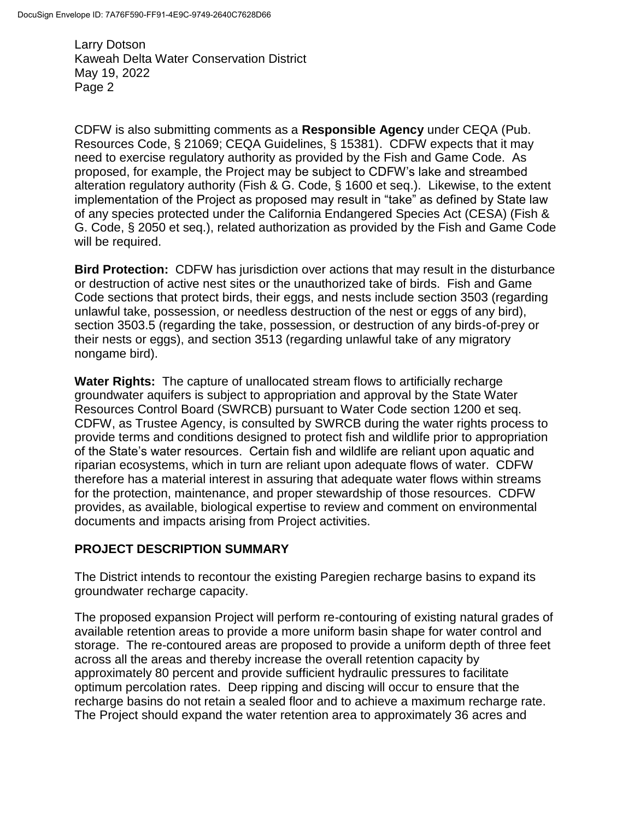CDFW is also submitting comments as a **Responsible Agency** under CEQA (Pub. Resources Code, § 21069; CEQA Guidelines, § 15381). CDFW expects that it may need to exercise regulatory authority as provided by the Fish and Game Code. As proposed, for example, the Project may be subject to CDFW's lake and streambed alteration regulatory authority (Fish & G. Code, § 1600 et seq.). Likewise, to the extent implementation of the Project as proposed may result in "take" as defined by State law of any species protected under the California Endangered Species Act (CESA) (Fish & G. Code, § 2050 et seq.), related authorization as provided by the Fish and Game Code will be required.

**Bird Protection:** CDFW has jurisdiction over actions that may result in the disturbance or destruction of active nest sites or the unauthorized take of birds. Fish and Game Code sections that protect birds, their eggs, and nests include section 3503 (regarding unlawful take, possession, or needless destruction of the nest or eggs of any bird), section 3503.5 (regarding the take, possession, or destruction of any birds-of-prey or their nests or eggs), and section 3513 (regarding unlawful take of any migratory nongame bird).

**Water Rights:** The capture of unallocated stream flows to artificially recharge groundwater aquifers is subject to appropriation and approval by the State Water Resources Control Board (SWRCB) pursuant to Water Code section 1200 et seq. CDFW, as Trustee Agency, is consulted by SWRCB during the water rights process to provide terms and conditions designed to protect fish and wildlife prior to appropriation of the State's water resources. Certain fish and wildlife are reliant upon aquatic and riparian ecosystems, which in turn are reliant upon adequate flows of water. CDFW therefore has a material interest in assuring that adequate water flows within streams for the protection, maintenance, and proper stewardship of those resources. CDFW provides, as available, biological expertise to review and comment on environmental documents and impacts arising from Project activities.

### **PROJECT DESCRIPTION SUMMARY**

The District intends to recontour the existing Paregien recharge basins to expand its groundwater recharge capacity.

The proposed expansion Project will perform re-contouring of existing natural grades of available retention areas to provide a more uniform basin shape for water control and storage. The re-contoured areas are proposed to provide a uniform depth of three feet across all the areas and thereby increase the overall retention capacity by approximately 80 percent and provide sufficient hydraulic pressures to facilitate optimum percolation rates. Deep ripping and discing will occur to ensure that the recharge basins do not retain a sealed floor and to achieve a maximum recharge rate. The Project should expand the water retention area to approximately 36 acres and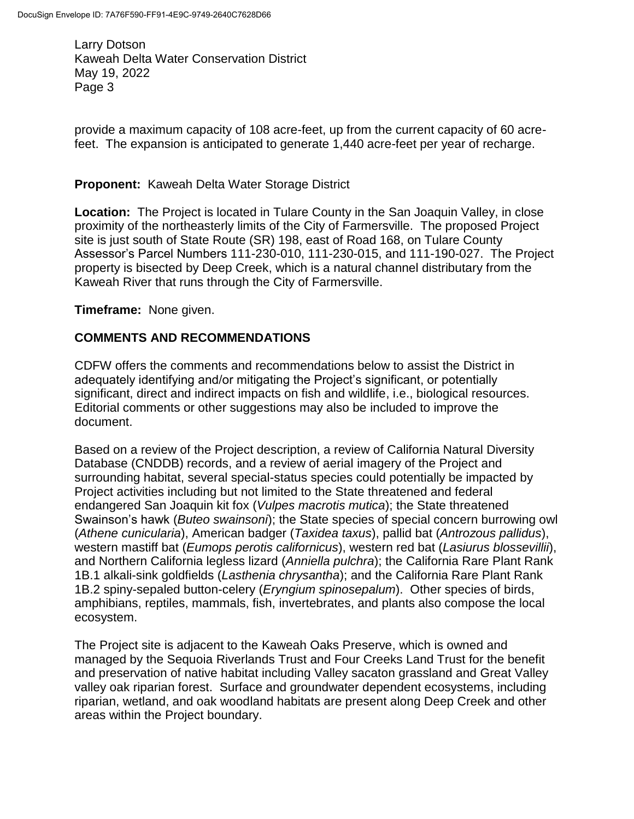provide a maximum capacity of 108 acre-feet, up from the current capacity of 60 acrefeet. The expansion is anticipated to generate 1,440 acre-feet per year of recharge.

#### **Proponent:** Kaweah Delta Water Storage District

**Location:** The Project is located in Tulare County in the San Joaquin Valley, in close proximity of the northeasterly limits of the City of Farmersville. The proposed Project site is just south of State Route (SR) 198, east of Road 168, on Tulare County Assessor's Parcel Numbers 111-230-010, 111-230-015, and 111-190-027. The Project property is bisected by Deep Creek, which is a natural channel distributary from the Kaweah River that runs through the City of Farmersville.

**Timeframe:** None given.

### **COMMENTS AND RECOMMENDATIONS**

CDFW offers the comments and recommendations below to assist the District in adequately identifying and/or mitigating the Project's significant, or potentially significant, direct and indirect impacts on fish and wildlife, i.e., biological resources. Editorial comments or other suggestions may also be included to improve the document.

Based on a review of the Project description, a review of California Natural Diversity Database (CNDDB) records, and a review of aerial imagery of the Project and surrounding habitat, several special-status species could potentially be impacted by Project activities including but not limited to the State threatened and federal endangered San Joaquin kit fox (*Vulpes macrotis mutica*); the State threatened Swainson's hawk (*Buteo swainsoni*); the State species of special concern burrowing owl (*Athene cunicularia*), American badger (*Taxidea taxus*), pallid bat (*Antrozous pallidus*), western mastiff bat (*Eumops perotis californicus*), western red bat (*Lasiurus blossevillii*), and Northern California legless lizard (*Anniella pulchra*); the California Rare Plant Rank 1B.1 alkali-sink goldfields (*Lasthenia chrysantha*); and the California Rare Plant Rank 1B.2 spiny-sepaled button-celery (*Eryngium spinosepalum*). Other species of birds, amphibians, reptiles, mammals, fish, invertebrates, and plants also compose the local ecosystem.

The Project site is adjacent to the Kaweah Oaks Preserve, which is owned and managed by the Sequoia Riverlands Trust and Four Creeks Land Trust for the benefit and preservation of native habitat including Valley sacaton grassland and Great Valley valley oak riparian forest. Surface and groundwater dependent ecosystems, including riparian, wetland, and oak woodland habitats are present along Deep Creek and other areas within the Project boundary.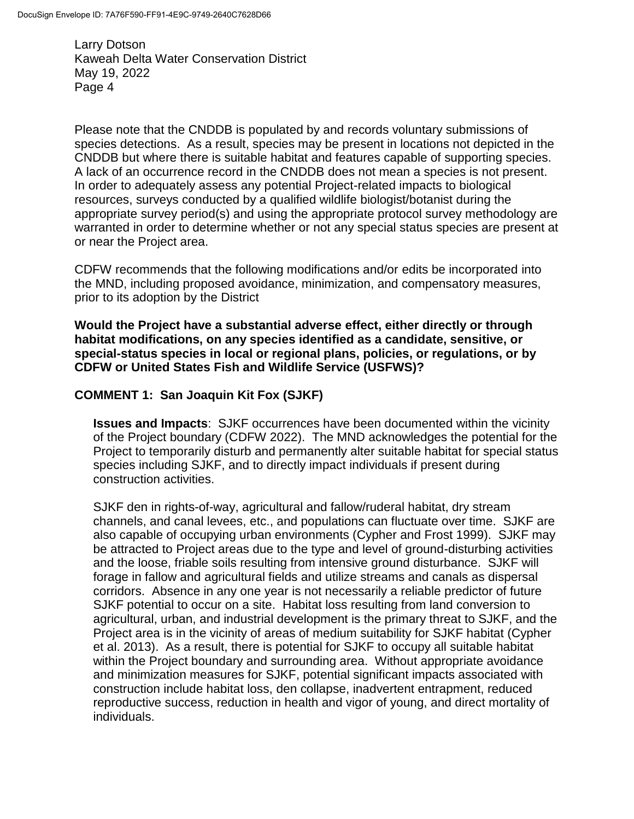Please note that the CNDDB is populated by and records voluntary submissions of species detections. As a result, species may be present in locations not depicted in the CNDDB but where there is suitable habitat and features capable of supporting species. A lack of an occurrence record in the CNDDB does not mean a species is not present. In order to adequately assess any potential Project-related impacts to biological resources, surveys conducted by a qualified wildlife biologist/botanist during the appropriate survey period(s) and using the appropriate protocol survey methodology are warranted in order to determine whether or not any special status species are present at or near the Project area.

CDFW recommends that the following modifications and/or edits be incorporated into the MND, including proposed avoidance, minimization, and compensatory measures, prior to its adoption by the District

**Would the Project have a substantial adverse effect, either directly or through habitat modifications, on any species identified as a candidate, sensitive, or special-status species in local or regional plans, policies, or regulations, or by CDFW or United States Fish and Wildlife Service (USFWS)?**

### **COMMENT 1: San Joaquin Kit Fox (SJKF)**

**Issues and Impacts**: SJKF occurrences have been documented within the vicinity of the Project boundary (CDFW 2022). The MND acknowledges the potential for the Project to temporarily disturb and permanently alter suitable habitat for special status species including SJKF, and to directly impact individuals if present during construction activities.

SJKF den in rights-of-way, agricultural and fallow/ruderal habitat, dry stream channels, and canal levees, etc., and populations can fluctuate over time. SJKF are also capable of occupying urban environments (Cypher and Frost 1999). SJKF may be attracted to Project areas due to the type and level of ground-disturbing activities and the loose, friable soils resulting from intensive ground disturbance. SJKF will forage in fallow and agricultural fields and utilize streams and canals as dispersal corridors. Absence in any one year is not necessarily a reliable predictor of future SJKF potential to occur on a site. Habitat loss resulting from land conversion to agricultural, urban, and industrial development is the primary threat to SJKF, and the Project area is in the vicinity of areas of medium suitability for SJKF habitat (Cypher et al. 2013). As a result, there is potential for SJKF to occupy all suitable habitat within the Project boundary and surrounding area. Without appropriate avoidance and minimization measures for SJKF, potential significant impacts associated with construction include habitat loss, den collapse, inadvertent entrapment, reduced reproductive success, reduction in health and vigor of young, and direct mortality of individuals.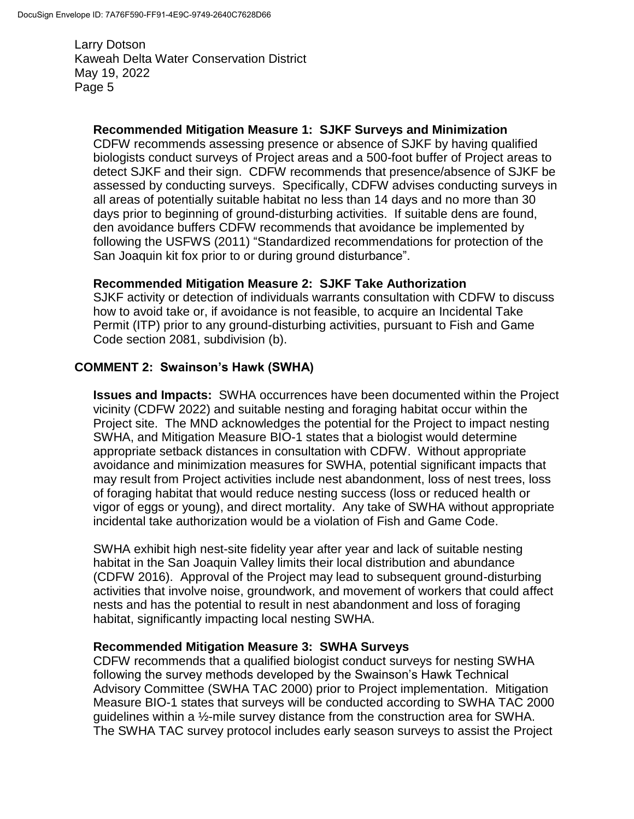### **Recommended Mitigation Measure 1: SJKF Surveys and Minimization**

CDFW recommends assessing presence or absence of SJKF by having qualified biologists conduct surveys of Project areas and a 500-foot buffer of Project areas to detect SJKF and their sign. CDFW recommends that presence/absence of SJKF be assessed by conducting surveys. Specifically, CDFW advises conducting surveys in all areas of potentially suitable habitat no less than 14 days and no more than 30 days prior to beginning of ground-disturbing activities. If suitable dens are found, den avoidance buffers CDFW recommends that avoidance be implemented by following the USFWS (2011) "Standardized recommendations for protection of the San Joaquin kit fox prior to or during ground disturbance".

### **Recommended Mitigation Measure 2: SJKF Take Authorization**

SJKF activity or detection of individuals warrants consultation with CDFW to discuss how to avoid take or, if avoidance is not feasible, to acquire an Incidental Take Permit (ITP) prior to any ground-disturbing activities, pursuant to Fish and Game Code section 2081, subdivision (b).

### **COMMENT 2: Swainson's Hawk (SWHA)**

**Issues and Impacts:** SWHA occurrences have been documented within the Project vicinity (CDFW 2022) and suitable nesting and foraging habitat occur within the Project site.The MND acknowledges the potential for the Project to impact nesting SWHA, and Mitigation Measure BIO-1 states that a biologist would determine appropriate setback distances in consultation with CDFW. Without appropriate avoidance and minimization measures for SWHA, potential significant impacts that may result from Project activities include nest abandonment, loss of nest trees, loss of foraging habitat that would reduce nesting success (loss or reduced health or vigor of eggs or young), and direct mortality. Any take of SWHA without appropriate incidental take authorization would be a violation of Fish and Game Code.

SWHA exhibit high nest-site fidelity year after year and lack of suitable nesting habitat in the San Joaquin Valley limits their local distribution and abundance (CDFW 2016). Approval of the Project may lead to subsequent ground-disturbing activities that involve noise, groundwork, and movement of workers that could affect nests and has the potential to result in nest abandonment and loss of foraging habitat, significantly impacting local nesting SWHA.

#### **Recommended Mitigation Measure 3: SWHA Surveys**

CDFW recommends that a qualified biologist conduct surveys for nesting SWHA following the survey methods developed by the Swainson's Hawk Technical Advisory Committee (SWHA TAC 2000) prior to Project implementation. Mitigation Measure BIO-1 states that surveys will be conducted according to SWHA TAC 2000 guidelines within a ½-mile survey distance from the construction area for SWHA. The SWHA TAC survey protocol includes early season surveys to assist the Project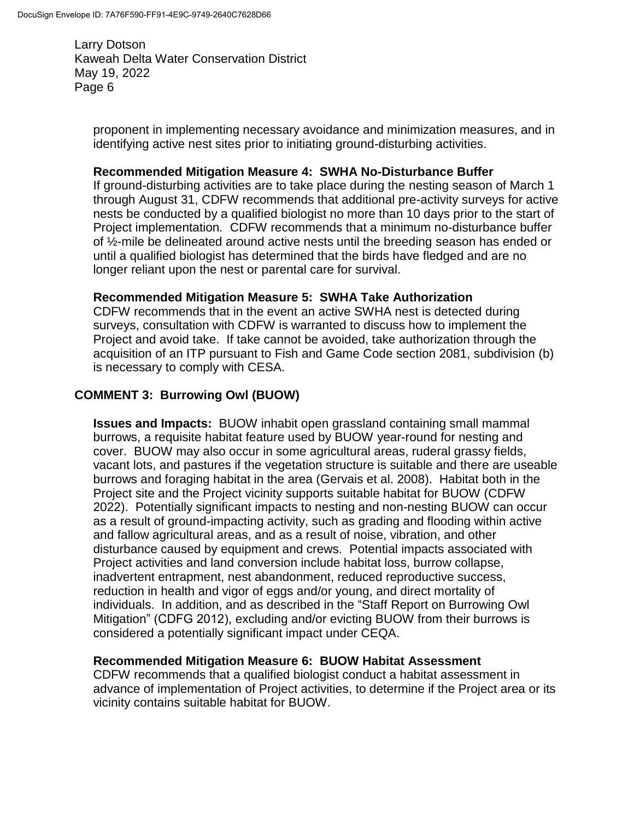proponent in implementing necessary avoidance and minimization measures, and in identifying active nest sites prior to initiating ground-disturbing activities.

#### **Recommended Mitigation Measure 4: SWHA No-Disturbance Buffer**

If ground-disturbing activities are to take place during the nesting season of March 1 through August 31, CDFW recommends that additional pre-activity surveys for active nests be conducted by a qualified biologist no more than 10 days prior to the start of Project implementation. CDFW recommends that a minimum no-disturbance buffer of ½-mile be delineated around active nests until the breeding season has ended or until a qualified biologist has determined that the birds have fledged and are no longer reliant upon the nest or parental care for survival.

### **Recommended Mitigation Measure 5: SWHA Take Authorization**

CDFW recommends that in the event an active SWHA nest is detected during surveys, consultation with CDFW is warranted to discuss how to implement the Project and avoid take. If take cannot be avoided, take authorization through the acquisition of an ITP pursuant to Fish and Game Code section 2081, subdivision (b) is necessary to comply with CESA.

## **COMMENT 3: Burrowing Owl (BUOW)**

**Issues and Impacts:** BUOW inhabit open grassland containing small mammal burrows, a requisite habitat feature used by BUOW year-round for nesting and cover. BUOW may also occur in some agricultural areas, ruderal grassy fields, vacant lots, and pastures if the vegetation structure is suitable and there are useable burrows and foraging habitat in the area (Gervais et al. 2008). Habitat both in the Project site and the Project vicinity supports suitable habitat for BUOW (CDFW 2022). Potentially significant impacts to nesting and non-nesting BUOW can occur as a result of ground-impacting activity, such as grading and flooding within active and fallow agricultural areas, and as a result of noise, vibration, and other disturbance caused by equipment and crews. Potential impacts associated with Project activities and land conversion include habitat loss, burrow collapse, inadvertent entrapment, nest abandonment, reduced reproductive success, reduction in health and vigor of eggs and/or young, and direct mortality of individuals. In addition, and as described in the "Staff Report on Burrowing Owl Mitigation" (CDFG 2012), excluding and/or evicting BUOW from their burrows is considered a potentially significant impact under CEQA.

### **Recommended Mitigation Measure 6: BUOW Habitat Assessment**

CDFW recommends that a qualified biologist conduct a habitat assessment in advance of implementation of Project activities, to determine if the Project area or its vicinity contains suitable habitat for BUOW.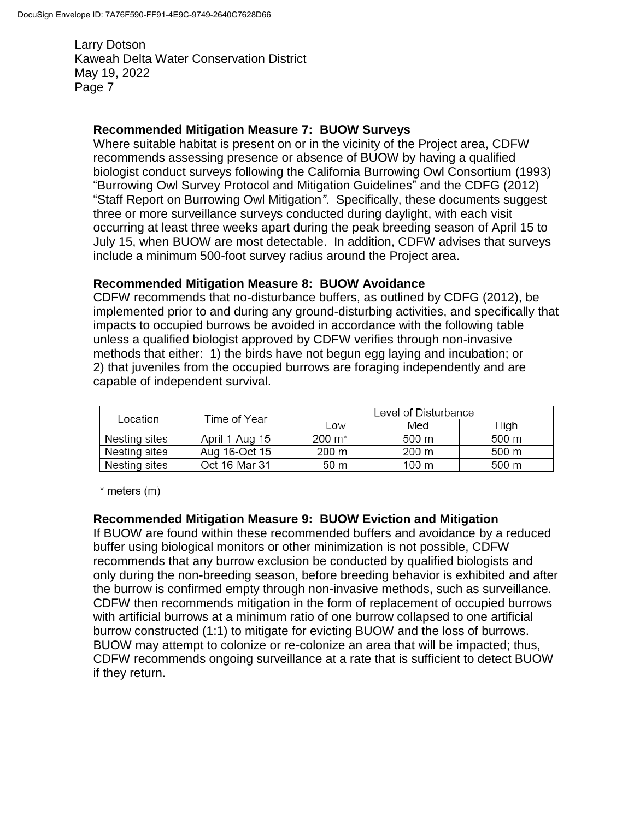### **Recommended Mitigation Measure 7: BUOW Surveys**

Where suitable habitat is present on or in the vicinity of the Project area, CDFW recommends assessing presence or absence of BUOW by having a qualified biologist conduct surveys following the California Burrowing Owl Consortium (1993) "Burrowing Owl Survey Protocol and Mitigation Guidelines" and the CDFG (2012) "Staff Report on Burrowing Owl Mitigation*"*. Specifically, these documents suggest three or more surveillance surveys conducted during daylight, with each visit occurring at least three weeks apart during the peak breeding season of April 15 to July 15, when BUOW are most detectable. In addition, CDFW advises that surveys include a minimum 500-foot survey radius around the Project area.

### **Recommended Mitigation Measure 8: BUOW Avoidance**

CDFW recommends that no-disturbance buffers, as outlined by CDFG (2012), be implemented prior to and during any ground-disturbing activities, and specifically that impacts to occupied burrows be avoided in accordance with the following table unless a qualified biologist approved by CDFW verifies through non-invasive methods that either: 1) the birds have not begun egg laying and incubation; or 2) that juveniles from the occupied burrows are foraging independently and are capable of independent survival.

| Location      | Time of Year   | Level of Disturbance |       |       |
|---------------|----------------|----------------------|-------|-------|
|               |                | Low                  | Med   | High  |
| Nesting sites | April 1-Aug 15 | $200 \; \text{m}^*$  | 500 m | 500 m |
| Nesting sites | Aug 16-Oct 15  | 200 m                | 200 m | 500 m |
| Nesting sites | Oct 16-Mar 31  | 50 m                 | 100 m | 500 m |

 $*$  meters  $(m)$ 

#### **Recommended Mitigation Measure 9: BUOW Eviction and Mitigation**

If BUOW are found within these recommended buffers and avoidance by a reduced buffer using biological monitors or other minimization is not possible, CDFW recommends that any burrow exclusion be conducted by qualified biologists and only during the non-breeding season, before breeding behavior is exhibited and after the burrow is confirmed empty through non-invasive methods, such as surveillance. CDFW then recommends mitigation in the form of replacement of occupied burrows with artificial burrows at a minimum ratio of one burrow collapsed to one artificial burrow constructed (1:1) to mitigate for evicting BUOW and the loss of burrows. BUOW may attempt to colonize or re-colonize an area that will be impacted; thus, CDFW recommends ongoing surveillance at a rate that is sufficient to detect BUOW if they return.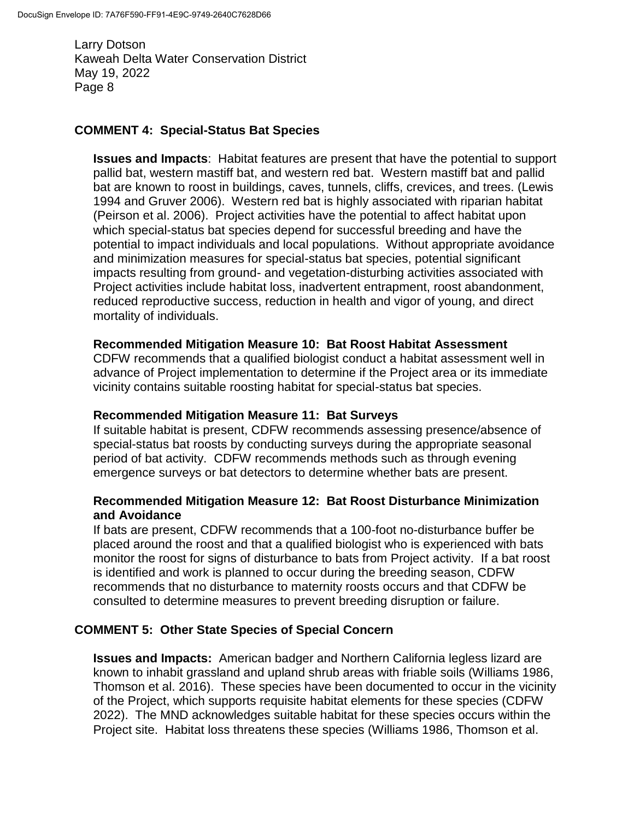## **COMMENT 4: Special-Status Bat Species**

**Issues and Impacts**: Habitat features are present that have the potential to support pallid bat, western mastiff bat, and western red bat. Western mastiff bat and pallid bat are known to roost in buildings, caves, tunnels, cliffs, crevices, and trees. (Lewis 1994 and Gruver 2006). Western red bat is highly associated with riparian habitat (Peirson et al. 2006). Project activities have the potential to affect habitat upon which special-status bat species depend for successful breeding and have the potential to impact individuals and local populations. Without appropriate avoidance and minimization measures for special-status bat species, potential significant impacts resulting from ground- and vegetation-disturbing activities associated with Project activities include habitat loss, inadvertent entrapment, roost abandonment, reduced reproductive success, reduction in health and vigor of young, and direct mortality of individuals.

### **Recommended Mitigation Measure 10: Bat Roost Habitat Assessment**

CDFW recommends that a qualified biologist conduct a habitat assessment well in advance of Project implementation to determine if the Project area or its immediate vicinity contains suitable roosting habitat for special-status bat species.

### **Recommended Mitigation Measure 11: Bat Surveys**

If suitable habitat is present, CDFW recommends assessing presence/absence of special-status bat roosts by conducting surveys during the appropriate seasonal period of bat activity. CDFW recommends methods such as through evening emergence surveys or bat detectors to determine whether bats are present.

### **Recommended Mitigation Measure 12: Bat Roost Disturbance Minimization and Avoidance**

If bats are present, CDFW recommends that a 100-foot no-disturbance buffer be placed around the roost and that a qualified biologist who is experienced with bats monitor the roost for signs of disturbance to bats from Project activity. If a bat roost is identified and work is planned to occur during the breeding season, CDFW recommends that no disturbance to maternity roosts occurs and that CDFW be consulted to determine measures to prevent breeding disruption or failure.

### **COMMENT 5: Other State Species of Special Concern**

**Issues and Impacts:** American badger and Northern California legless lizard are known to inhabit grassland and upland shrub areas with friable soils (Williams 1986, Thomson et al. 2016). These species have been documented to occur in the vicinity of the Project, which supports requisite habitat elements for these species (CDFW 2022). The MND acknowledges suitable habitat for these species occurs within the Project site. Habitat loss threatens these species (Williams 1986, Thomson et al.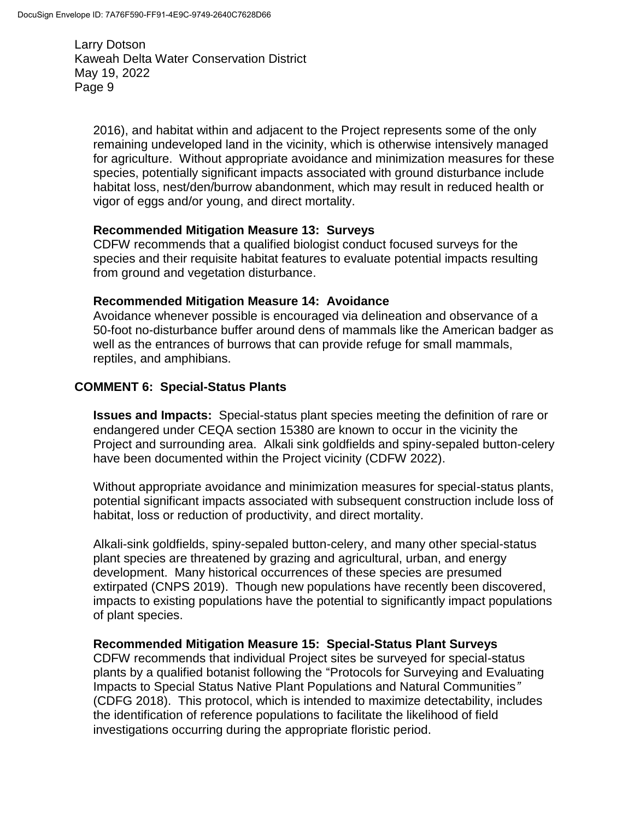2016), and habitat within and adjacent to the Project represents some of the only remaining undeveloped land in the vicinity, which is otherwise intensively managed for agriculture. Without appropriate avoidance and minimization measures for these species, potentially significant impacts associated with ground disturbance include habitat loss, nest/den/burrow abandonment, which may result in reduced health or vigor of eggs and/or young, and direct mortality.

#### **Recommended Mitigation Measure 13: Surveys**

CDFW recommends that a qualified biologist conduct focused surveys for the species and their requisite habitat features to evaluate potential impacts resulting from ground and vegetation disturbance.

#### **Recommended Mitigation Measure 14: Avoidance**

Avoidance whenever possible is encouraged via delineation and observance of a 50-foot no-disturbance buffer around dens of mammals like the American badger as well as the entrances of burrows that can provide refuge for small mammals, reptiles, and amphibians.

#### **COMMENT 6: Special-Status Plants**

**Issues and Impacts:** Special-status plant species meeting the definition of rare or endangered under CEQA section 15380 are known to occur in the vicinity the Project and surrounding area. Alkali sink goldfields and spiny-sepaled button-celery have been documented within the Project vicinity (CDFW 2022).

Without appropriate avoidance and minimization measures for special-status plants, potential significant impacts associated with subsequent construction include loss of habitat, loss or reduction of productivity, and direct mortality.

Alkali-sink goldfields, spiny-sepaled button-celery, and many other special-status plant species are threatened by grazing and agricultural, urban, and energy development. Many historical occurrences of these species are presumed extirpated (CNPS 2019). Though new populations have recently been discovered, impacts to existing populations have the potential to significantly impact populations of plant species.

### **Recommended Mitigation Measure 15: Special-Status Plant Surveys**

CDFW recommends that individual Project sites be surveyed for special-status plants by a qualified botanist following the "Protocols for Surveying and Evaluating Impacts to Special Status Native Plant Populations and Natural Communities*"* (CDFG 2018). This protocol, which is intended to maximize detectability, includes the identification of reference populations to facilitate the likelihood of field investigations occurring during the appropriate floristic period.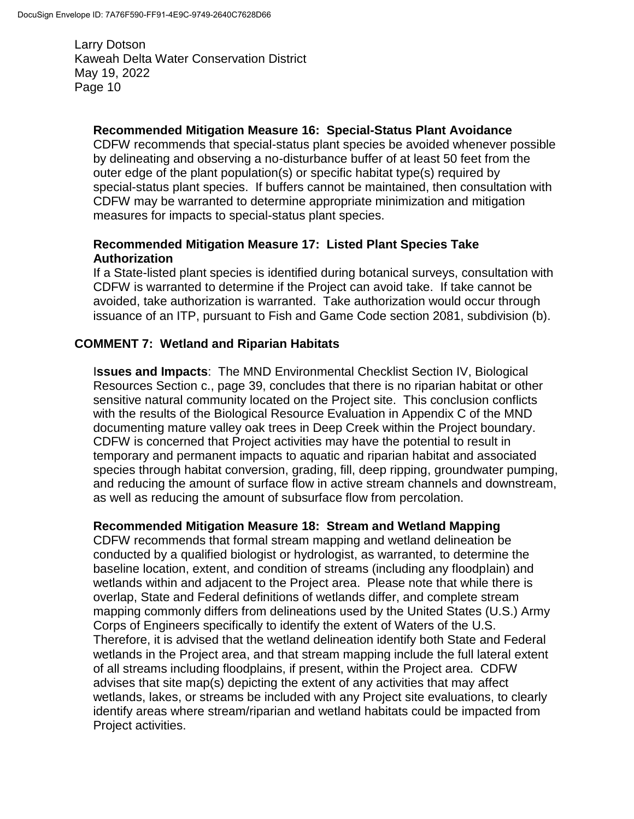### **Recommended Mitigation Measure 16: Special-Status Plant Avoidance**

CDFW recommends that special-status plant species be avoided whenever possible by delineating and observing a no-disturbance buffer of at least 50 feet from the outer edge of the plant population(s) or specific habitat type(s) required by special-status plant species. If buffers cannot be maintained, then consultation with CDFW may be warranted to determine appropriate minimization and mitigation measures for impacts to special-status plant species.

### **Recommended Mitigation Measure 17: Listed Plant Species Take Authorization**

If a State-listed plant species is identified during botanical surveys, consultation with CDFW is warranted to determine if the Project can avoid take. If take cannot be avoided, take authorization is warranted. Take authorization would occur through issuance of an ITP, pursuant to Fish and Game Code section 2081, subdivision (b).

### **COMMENT 7: Wetland and Riparian Habitats**

I**ssues and Impacts**: The MND Environmental Checklist Section IV, Biological Resources Section c., page 39, concludes that there is no riparian habitat or other sensitive natural community located on the Project site. This conclusion conflicts with the results of the Biological Resource Evaluation in Appendix C of the MND documenting mature valley oak trees in Deep Creek within the Project boundary. CDFW is concerned that Project activities may have the potential to result in temporary and permanent impacts to aquatic and riparian habitat and associated species through habitat conversion, grading, fill, deep ripping, groundwater pumping, and reducing the amount of surface flow in active stream channels and downstream, as well as reducing the amount of subsurface flow from percolation.

#### **Recommended Mitigation Measure 18: Stream and Wetland Mapping**

CDFW recommends that formal stream mapping and wetland delineation be conducted by a qualified biologist or hydrologist, as warranted, to determine the baseline location, extent, and condition of streams (including any floodplain) and wetlands within and adjacent to the Project area. Please note that while there is overlap, State and Federal definitions of wetlands differ, and complete stream mapping commonly differs from delineations used by the United States (U.S.) Army Corps of Engineers specifically to identify the extent of Waters of the U.S. Therefore, it is advised that the wetland delineation identify both State and Federal wetlands in the Project area, and that stream mapping include the full lateral extent of all streams including floodplains, if present, within the Project area. CDFW advises that site map(s) depicting the extent of any activities that may affect wetlands, lakes, or streams be included with any Project site evaluations, to clearly identify areas where stream/riparian and wetland habitats could be impacted from Project activities.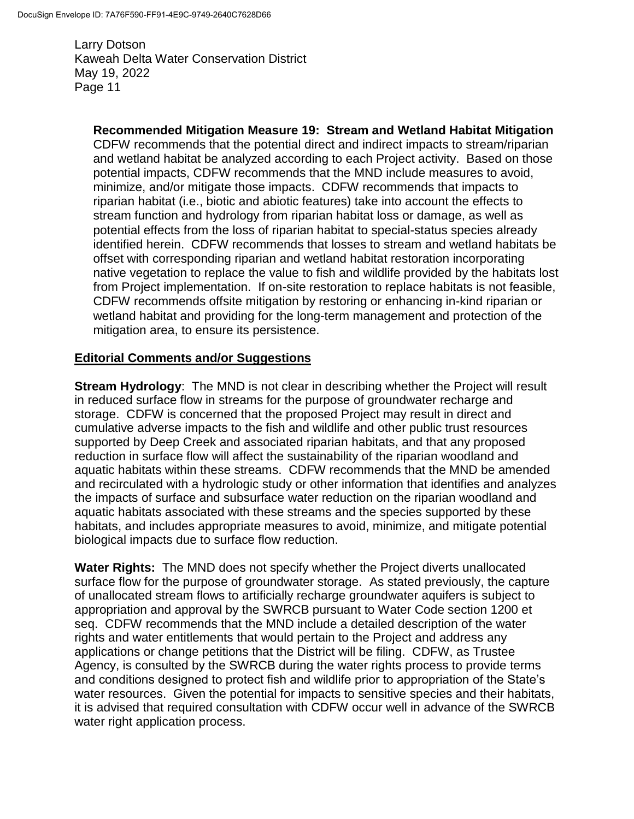## **Recommended Mitigation Measure 19: Stream and Wetland Habitat Mitigation**

CDFW recommends that the potential direct and indirect impacts to stream/riparian and wetland habitat be analyzed according to each Project activity. Based on those potential impacts, CDFW recommends that the MND include measures to avoid, minimize, and/or mitigate those impacts. CDFW recommends that impacts to riparian habitat (i.e., biotic and abiotic features) take into account the effects to stream function and hydrology from riparian habitat loss or damage, as well as potential effects from the loss of riparian habitat to special-status species already identified herein. CDFW recommends that losses to stream and wetland habitats be offset with corresponding riparian and wetland habitat restoration incorporating native vegetation to replace the value to fish and wildlife provided by the habitats lost from Project implementation. If on-site restoration to replace habitats is not feasible, CDFW recommends offsite mitigation by restoring or enhancing in-kind riparian or wetland habitat and providing for the long-term management and protection of the mitigation area, to ensure its persistence.

### **Editorial Comments and/or Suggestions**

**Stream Hydrology**: The MND is not clear in describing whether the Project will result in reduced surface flow in streams for the purpose of groundwater recharge and storage. CDFW is concerned that the proposed Project may result in direct and cumulative adverse impacts to the fish and wildlife and other public trust resources supported by Deep Creek and associated riparian habitats, and that any proposed reduction in surface flow will affect the sustainability of the riparian woodland and aquatic habitats within these streams. CDFW recommends that the MND be amended and recirculated with a hydrologic study or other information that identifies and analyzes the impacts of surface and subsurface water reduction on the riparian woodland and aquatic habitats associated with these streams and the species supported by these habitats, and includes appropriate measures to avoid, minimize, and mitigate potential biological impacts due to surface flow reduction.

**Water Rights:** The MND does not specify whether the Project diverts unallocated surface flow for the purpose of groundwater storage. As stated previously, the capture of unallocated stream flows to artificially recharge groundwater aquifers is subject to appropriation and approval by the SWRCB pursuant to Water Code section 1200 et seq. CDFW recommends that the MND include a detailed description of the water rights and water entitlements that would pertain to the Project and address any applications or change petitions that the District will be filing. CDFW, as Trustee Agency, is consulted by the SWRCB during the water rights process to provide terms and conditions designed to protect fish and wildlife prior to appropriation of the State's water resources. Given the potential for impacts to sensitive species and their habitats, it is advised that required consultation with CDFW occur well in advance of the SWRCB water right application process.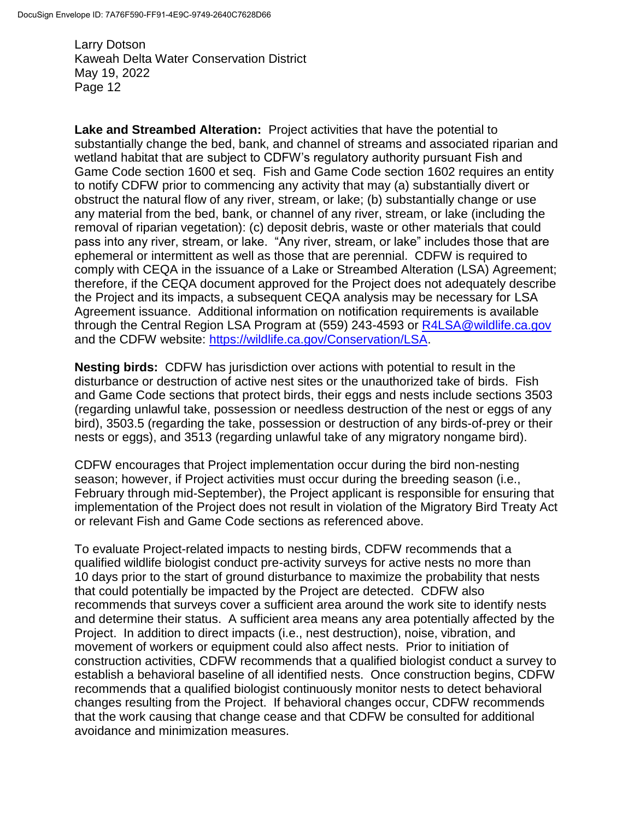**Lake and Streambed Alteration:** Project activities that have the potential to substantially change the bed, bank, and channel of streams and associated riparian and wetland habitat that are subject to CDFW's regulatory authority pursuant Fish and Game Code section 1600 et seq. Fish and Game Code section 1602 requires an entity to notify CDFW prior to commencing any activity that may (a) substantially divert or obstruct the natural flow of any river, stream, or lake; (b) substantially change or use any material from the bed, bank, or channel of any river, stream, or lake (including the removal of riparian vegetation): (c) deposit debris, waste or other materials that could pass into any river, stream, or lake. "Any river, stream, or lake" includes those that are ephemeral or intermittent as well as those that are perennial. CDFW is required to comply with CEQA in the issuance of a Lake or Streambed Alteration (LSA) Agreement; therefore, if the CEQA document approved for the Project does not adequately describe the Project and its impacts, a subsequent CEQA analysis may be necessary for LSA Agreement issuance. Additional information on notification requirements is available through the Central Region LSA Program at (559) 243-4593 or [R4LSA@wildlife.ca.gov](mailto:R4LSA@wildlife.ca.gov) and the CDFW website: [https://wildlife.ca.gov/Conservation/LSA.](https://wildlife.ca.gov/Conservation/LSA)

**Nesting birds:** CDFW has jurisdiction over actions with potential to result in the disturbance or destruction of active nest sites or the unauthorized take of birds. Fish and Game Code sections that protect birds, their eggs and nests include sections 3503 (regarding unlawful take, possession or needless destruction of the nest or eggs of any bird), 3503.5 (regarding the take, possession or destruction of any birds-of-prey or their nests or eggs), and 3513 (regarding unlawful take of any migratory nongame bird).

CDFW encourages that Project implementation occur during the bird non-nesting season; however, if Project activities must occur during the breeding season (i.e., February through mid-September), the Project applicant is responsible for ensuring that implementation of the Project does not result in violation of the Migratory Bird Treaty Act or relevant Fish and Game Code sections as referenced above.

To evaluate Project-related impacts to nesting birds, CDFW recommends that a qualified wildlife biologist conduct pre-activity surveys for active nests no more than 10 days prior to the start of ground disturbance to maximize the probability that nests that could potentially be impacted by the Project are detected. CDFW also recommends that surveys cover a sufficient area around the work site to identify nests and determine their status. A sufficient area means any area potentially affected by the Project. In addition to direct impacts (i.e., nest destruction), noise, vibration, and movement of workers or equipment could also affect nests. Prior to initiation of construction activities, CDFW recommends that a qualified biologist conduct a survey to establish a behavioral baseline of all identified nests. Once construction begins, CDFW recommends that a qualified biologist continuously monitor nests to detect behavioral changes resulting from the Project. If behavioral changes occur, CDFW recommends that the work causing that change cease and that CDFW be consulted for additional avoidance and minimization measures.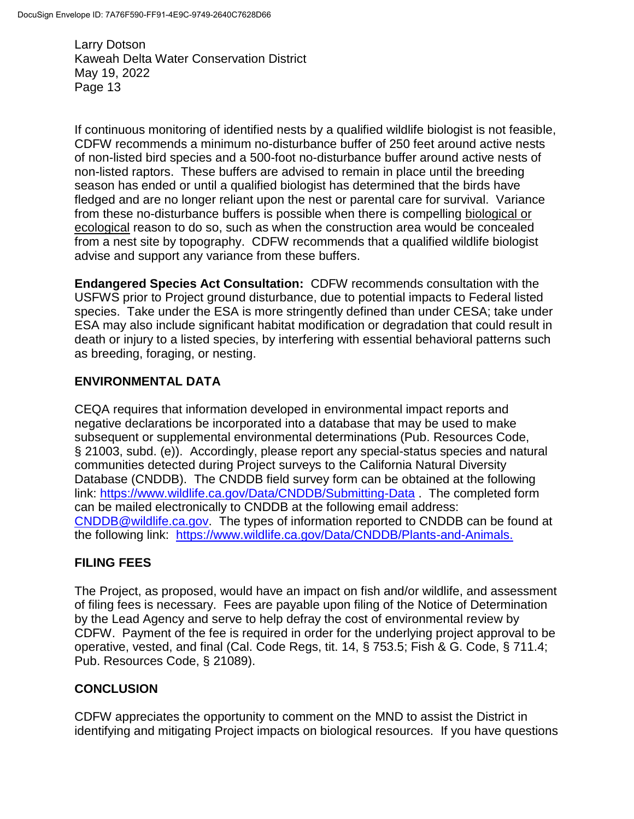If continuous monitoring of identified nests by a qualified wildlife biologist is not feasible, CDFW recommends a minimum no-disturbance buffer of 250 feet around active nests of non-listed bird species and a 500-foot no-disturbance buffer around active nests of non-listed raptors. These buffers are advised to remain in place until the breeding season has ended or until a qualified biologist has determined that the birds have fledged and are no longer reliant upon the nest or parental care for survival. Variance from these no-disturbance buffers is possible when there is compelling biological or ecological reason to do so, such as when the construction area would be concealed from a nest site by topography. CDFW recommends that a qualified wildlife biologist advise and support any variance from these buffers.

**Endangered Species Act Consultation:** CDFW recommends consultation with the USFWS prior to Project ground disturbance, due to potential impacts to Federal listed species. Take under the ESA is more stringently defined than under CESA; take under ESA may also include significant habitat modification or degradation that could result in death or injury to a listed species, by interfering with essential behavioral patterns such as breeding, foraging, or nesting.

### **ENVIRONMENTAL DATA**

CEQA requires that information developed in environmental impact reports and negative declarations be incorporated into a database that may be used to make subsequent or supplemental environmental determinations (Pub. Resources Code, § 21003, subd. (e)). Accordingly, please report any special-status species and natural communities detected during Project surveys to the California Natural Diversity Database (CNDDB). The CNDDB field survey form can be obtained at the following link:<https://www.wildlife.ca.gov/Data/CNDDB/Submitting-Data> . The completed form can be mailed electronically to CNDDB at the following email address: [CNDDB@wildlife.ca.gov.](mailto:cnddb@dfg.ca.gov) The types of information reported to CNDDB can be found at the following link: [https://www.wildlife.ca.gov/Data/CNDDB/Plants-and-Animals.](https://www.wildlife.ca.gov/Data/CNDDB/Plants-and-Animals)

## **FILING FEES**

The Project, as proposed, would have an impact on fish and/or wildlife, and assessment of filing fees is necessary. Fees are payable upon filing of the Notice of Determination by the Lead Agency and serve to help defray the cost of environmental review by CDFW. Payment of the fee is required in order for the underlying project approval to be operative, vested, and final (Cal. Code Regs, tit. 14, § 753.5; Fish & G. Code, § 711.4; Pub. Resources Code, § 21089).

### **CONCLUSION**

CDFW appreciates the opportunity to comment on the MND to assist the District in identifying and mitigating Project impacts on biological resources. If you have questions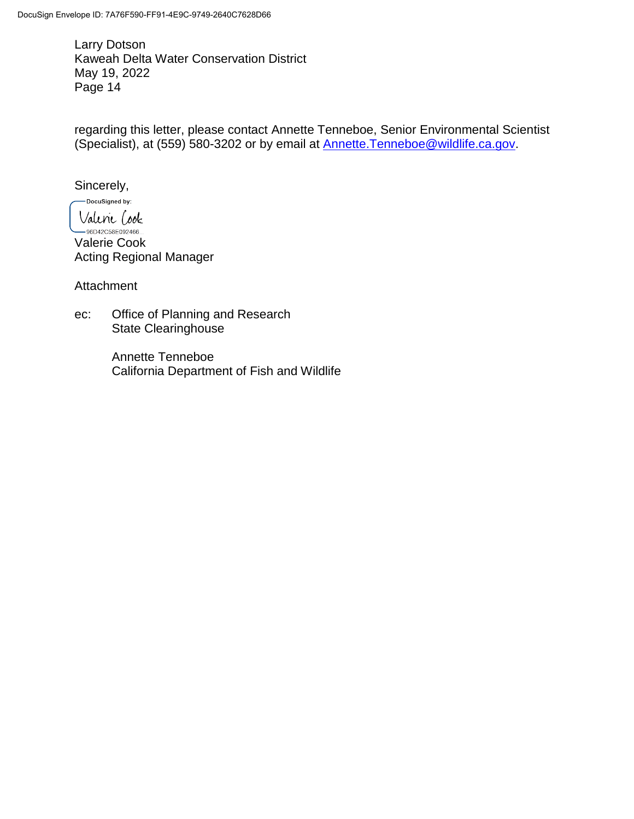regarding this letter, please contact Annette Tenneboe, Senior Environmental Scientist (Specialist), at (559) 580-3202 or by email at [Annette.Tenneboe@wildlife.ca.gov.](mailto:Annette.Tenneboe@wildlife.ca.gov)

Sincerely,

-DocuSigned by:

Valenie Cook  $-96D42C58E092466...$ Valerie Cook Acting Regional Manager

Attachment

ec: Office of Planning and Research State Clearinghouse

> Annette Tenneboe California Department of Fish and Wildlife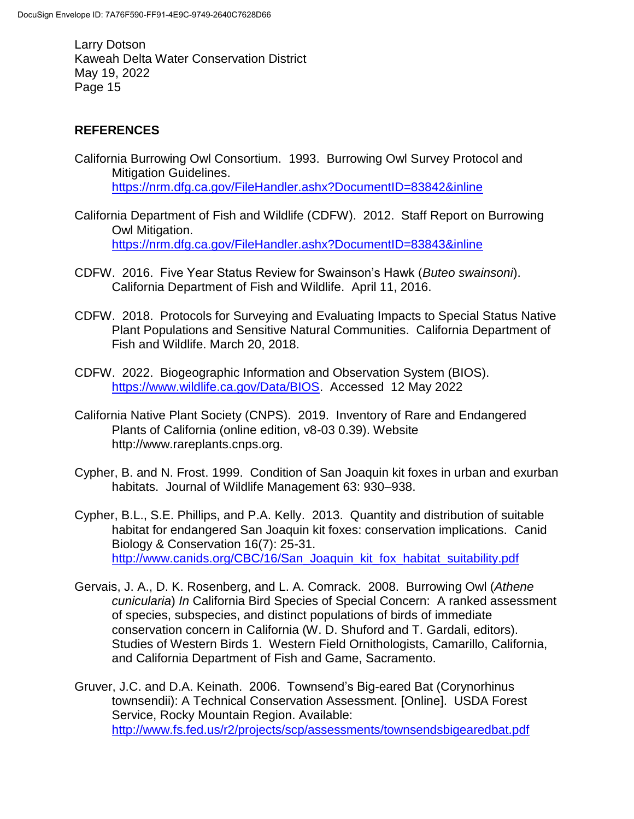# **REFERENCES**

- California Burrowing Owl Consortium. 1993. Burrowing Owl Survey Protocol and Mitigation Guidelines. <https://nrm.dfg.ca.gov/FileHandler.ashx?DocumentID=83842&inline>
- California Department of Fish and Wildlife (CDFW). 2012. Staff Report on Burrowing Owl Mitigation. <https://nrm.dfg.ca.gov/FileHandler.ashx?DocumentID=83843&inline>
- CDFW. 2016. Five Year Status Review for Swainson's Hawk (*Buteo swainsoni*). California Department of Fish and Wildlife. April 11, 2016.
- CDFW. 2018. Protocols for Surveying and Evaluating Impacts to Special Status Native Plant Populations and Sensitive Natural Communities. California Department of Fish and Wildlife. March 20, 2018.
- CDFW. 2022. Biogeographic Information and Observation System (BIOS). [https://www.wildlife.ca.gov/Data/BIOS.](https://www.wildlife.ca.gov/Data/BIOS) Accessed 12 May 2022
- California Native Plant Society (CNPS). 2019. Inventory of Rare and Endangered Plants of California (online edition, v8-03 0.39). Website http://www.rareplants.cnps.org.
- Cypher, B. and N. Frost. 1999. Condition of San Joaquin kit foxes in urban and exurban habitats. Journal of Wildlife Management 63: 930–938.
- Cypher, B.L., S.E. Phillips, and P.A. Kelly. 2013. Quantity and distribution of suitable habitat for endangered San Joaquin kit foxes: conservation implications. Canid Biology & Conservation 16(7): 25-31. [http://www.canids.org/CBC/16/San\\_Joaquin\\_kit\\_fox\\_habitat\\_suitability.pdf](http://www.canids.org/CBC/16/San_Joaquin_kit_fox_habitat_suitability.pdf)
- Gervais, J. A., D. K. Rosenberg, and L. A. Comrack. 2008. Burrowing Owl (*Athene cunicularia*) *In* California Bird Species of Special Concern: A ranked assessment of species, subspecies, and distinct populations of birds of immediate conservation concern in California (W. D. Shuford and T. Gardali, editors). Studies of Western Birds 1. Western Field Ornithologists, Camarillo, California, and California Department of Fish and Game, Sacramento.
- Gruver, J.C. and D.A. Keinath. 2006. Townsend's Big-eared Bat (Corynorhinus townsendii): A Technical Conservation Assessment. [Online]. USDA Forest Service, Rocky Mountain Region. Available: <http://www.fs.fed.us/r2/projects/scp/assessments/townsendsbigearedbat.pdf>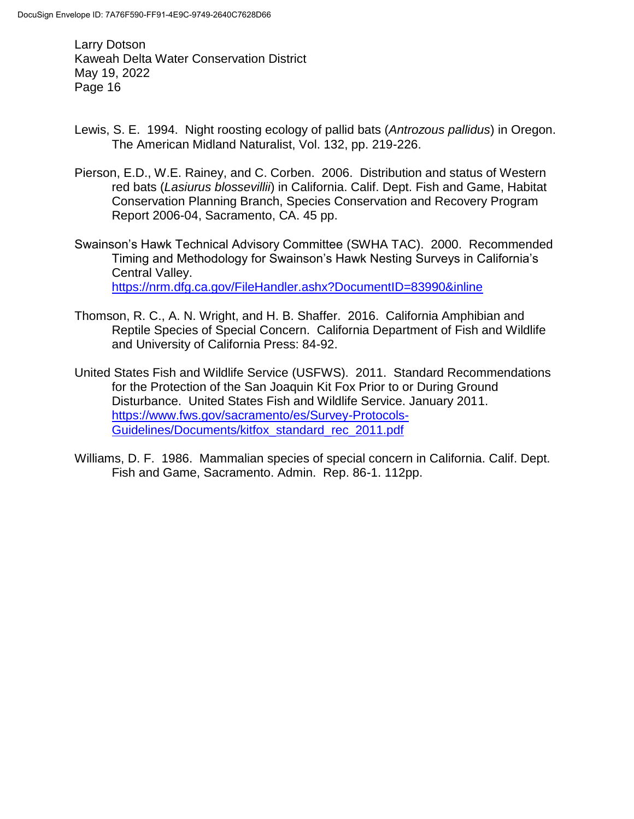- Lewis, S. E. 1994. Night roosting ecology of pallid bats (*Antrozous pallidus*) in Oregon. The American Midland Naturalist, Vol. 132, pp. 219-226.
- Pierson, E.D., W.E. Rainey, and C. Corben. 2006. Distribution and status of Western red bats (*Lasiurus blossevillii*) in California. Calif. Dept. Fish and Game, Habitat Conservation Planning Branch, Species Conservation and Recovery Program Report 2006-04, Sacramento, CA. 45 pp.
- Swainson's Hawk Technical Advisory Committee (SWHA TAC). 2000. Recommended Timing and Methodology for Swainson's Hawk Nesting Surveys in California's Central Valley. <https://nrm.dfg.ca.gov/FileHandler.ashx?DocumentID=83990&inline>
- Thomson, R. C., A. N. Wright, and H. B. Shaffer. 2016. California Amphibian and Reptile Species of Special Concern. California Department of Fish and Wildlife and University of California Press: 84-92.
- United States Fish and Wildlife Service (USFWS). 2011. Standard Recommendations for the Protection of the San Joaquin Kit Fox Prior to or During Ground Disturbance. United States Fish and Wildlife Service. January 2011. [https://www.fws.gov/sacramento/es/Survey-Protocols-](https://www.fws.gov/sacramento/es/Survey-Protocols-Guidelines/Documents/kitfox_standard_rec_2011.pdf)[Guidelines/Documents/kitfox\\_standard\\_rec\\_2011.pdf](https://www.fws.gov/sacramento/es/Survey-Protocols-Guidelines/Documents/kitfox_standard_rec_2011.pdf)
- Williams, D. F. 1986. Mammalian species of special concern in California. Calif. Dept. Fish and Game, Sacramento. Admin. Rep. 86-1. 112pp.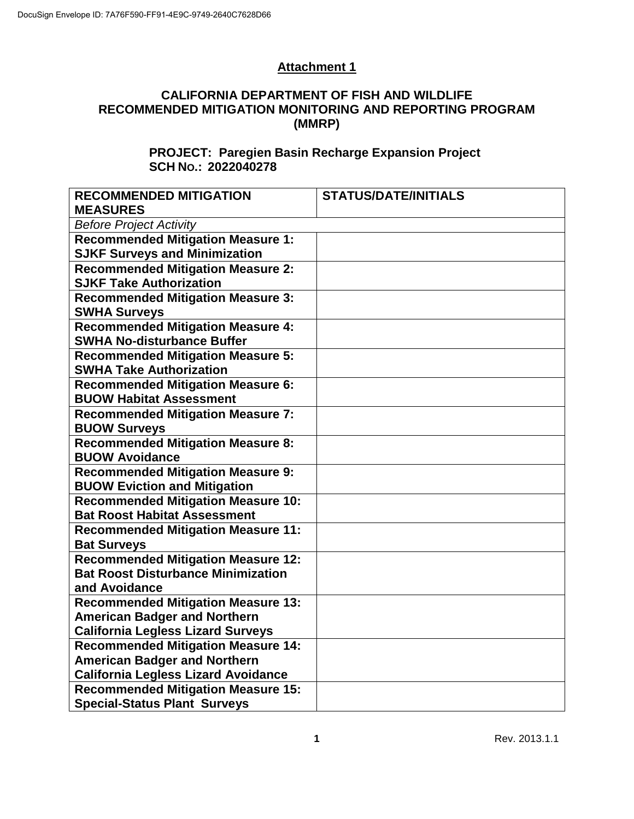## **Attachment 1**

## **CALIFORNIA DEPARTMENT OF FISH AND WILDLIFE RECOMMENDED MITIGATION MONITORING AND REPORTING PROGRAM (MMRP)**

## **PROJECT: Paregien Basin Recharge Expansion Project SCH NO.: 2022040278**

| <b>RECOMMENDED MITIGATION</b>              | <b>STATUS/DATE/INITIALS</b> |  |  |  |
|--------------------------------------------|-----------------------------|--|--|--|
| <b>MEASURES</b>                            |                             |  |  |  |
| <b>Before Project Activity</b>             |                             |  |  |  |
| <b>Recommended Mitigation Measure 1:</b>   |                             |  |  |  |
| <b>SJKF Surveys and Minimization</b>       |                             |  |  |  |
| <b>Recommended Mitigation Measure 2:</b>   |                             |  |  |  |
| <b>SJKF Take Authorization</b>             |                             |  |  |  |
| <b>Recommended Mitigation Measure 3:</b>   |                             |  |  |  |
| <b>SWHA Surveys</b>                        |                             |  |  |  |
| <b>Recommended Mitigation Measure 4:</b>   |                             |  |  |  |
| <b>SWHA No-disturbance Buffer</b>          |                             |  |  |  |
| <b>Recommended Mitigation Measure 5:</b>   |                             |  |  |  |
| <b>SWHA Take Authorization</b>             |                             |  |  |  |
| <b>Recommended Mitigation Measure 6:</b>   |                             |  |  |  |
| <b>BUOW Habitat Assessment</b>             |                             |  |  |  |
| <b>Recommended Mitigation Measure 7:</b>   |                             |  |  |  |
| <b>BUOW Surveys</b>                        |                             |  |  |  |
| <b>Recommended Mitigation Measure 8:</b>   |                             |  |  |  |
| <b>BUOW Avoidance</b>                      |                             |  |  |  |
| <b>Recommended Mitigation Measure 9:</b>   |                             |  |  |  |
| <b>BUOW Eviction and Mitigation</b>        |                             |  |  |  |
| <b>Recommended Mitigation Measure 10:</b>  |                             |  |  |  |
| <b>Bat Roost Habitat Assessment</b>        |                             |  |  |  |
| <b>Recommended Mitigation Measure 11:</b>  |                             |  |  |  |
| <b>Bat Surveys</b>                         |                             |  |  |  |
| <b>Recommended Mitigation Measure 12:</b>  |                             |  |  |  |
| <b>Bat Roost Disturbance Minimization</b>  |                             |  |  |  |
| and Avoidance                              |                             |  |  |  |
| <b>Recommended Mitigation Measure 13:</b>  |                             |  |  |  |
| <b>American Badger and Northern</b>        |                             |  |  |  |
| <b>California Legless Lizard Surveys</b>   |                             |  |  |  |
| <b>Recommended Mitigation Measure 14:</b>  |                             |  |  |  |
| <b>American Badger and Northern</b>        |                             |  |  |  |
| <b>California Legless Lizard Avoidance</b> |                             |  |  |  |
| <b>Recommended Mitigation Measure 15:</b>  |                             |  |  |  |
| <b>Special-Status Plant Surveys</b>        |                             |  |  |  |